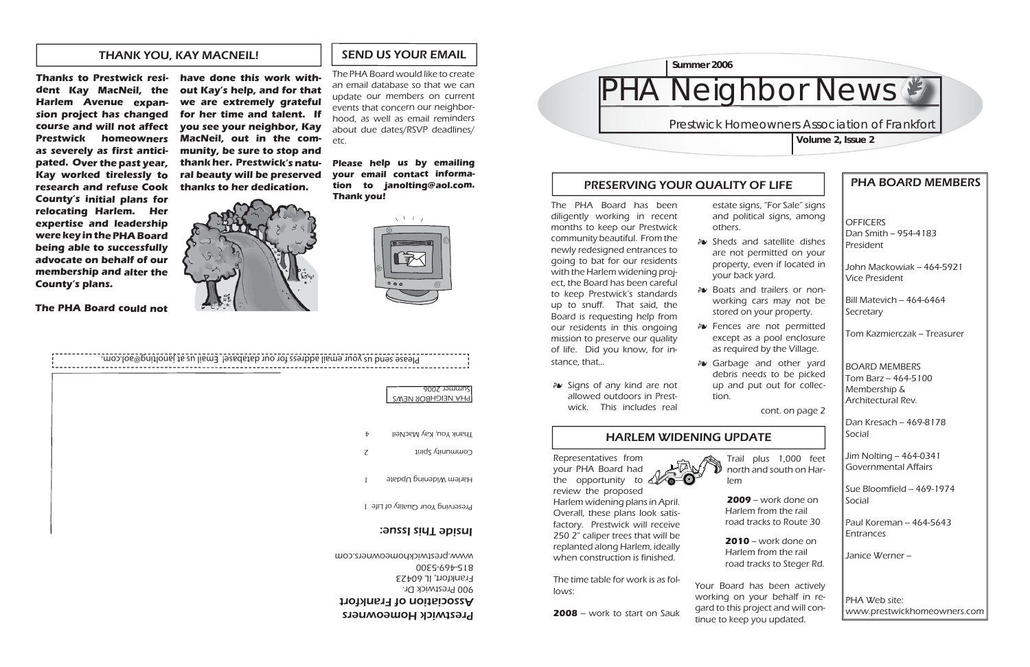**OFFICERS**  $Dan$  Smith -- 954-4183 President

# PHA BOARD MEMBERS

John Mackowiak -- 464-5921 Vice President

Bill Matevich – 464-6464 **Secretary** 

Tom Kazmierczak – Treasurer

Dan Kresach -- 469-8178 Social

Jim Nolting -- 464-0341 Governmental Affairs

Sue Bloomfield  $-$  469-1974 **Social** 

Paul Koreman – 464-5643 Entrances

Janice Werner -

BOARD MEMBERS $Tom$  Barz  $- 464 - 5100$ Membership & Architectural Rev.

PHA Web site:www.prestwickhomeowners.com

# PRESERVING YOUR QUALITY OF LIFE

# HARLEM WIDENING UPDATE

*a*• Fences are not permitted except as a pool enclosure as required by the Village.

خ*خ* Garbage and other yard debris needs to be picked up and put out for collec-

The PHA Board has been diligently working in recent months to keep our Prestwick community beautiful. From the newly redesigned entrances to going to bat for our residents with the Harlem widening project, the Board has been careful to keep Prestwick's standards up to snuff. That said, the Board is requesting help from our residents in this ongoing mission to preserve our quality of life. Did you know, for instance, that...

> **2009** – work done on Harlem from the rail road tracks to Route 30

**2010** – work done on Harlem from the rail road tracks to Steger Rd.

Community Spirit 2 Thank You, Kay MacNeil

Harlem Widening Update

Preserving Your Quality of Life 1

- others.
- your back yard.
- 
- 
- tion.
- خة Signs of any kind are not allowed outdoors in Prestwick. This includes real

estate signs, "For Sale" signs and political signs, among

Sheds and satellite dishes are not permitted on your property, even if located in

Boats and trailers or non-working cars may not be stored on your property.

cont. on page 2

Trail plus 1,000 feet north and south on Har-



Your Board has been actively working on your behalf in regard to this project and will continue to keep you updated.

# **Neighbor News**

# **Prestwick Homeowners Association of Frankfort**

Representatives from your PHA Board had the opportunity to review the proposed

Harlem widening plans in April. Overall, these plans look satisfactory. Prestwick will receive 250 2" caliper trees that will be replanted along Harlem, ideally when construction is finished.

The time table for work is as fol-

 $2008$  – work to start on Sauk

lows:

**Volume 2, Issue 2**



**Thanks to Prestwick resident Kay MacNeil, the Harlem Avenue expansion project has changed course and will not affect Prestwick homeowners as severely as first anticipated. Over the past year, Kay worked tirelessly to research and refuse Cook County's initial plans for relocating Harlem. Her expertise and leadership were key in the PHA Board being able to successfully advocate on behalf of our membership and alter the County's plans.** 

**The PHA Board could not** 

| have done this work with-    |
|------------------------------|
|                              |
| out Kay's help, and for that |
| we are extremely grateful    |
| for her time and talent. If  |
| you see your neighbor, Kay   |
| MacNeil, out in the com-     |
| munity, be sure to stop and  |
| thank her. Prestwick's natu- |
| ral beauty will be preserved |
| thanks to her dedication.    |



Please send us your email address for our database Email us as incorporting@aol.com.

#### Prestwick Homeowners

Association of Frankfort 900 Prestwick Dr. Frankfort, IL 60423 815-469-5300 www.prestwickhomeowners.com

## Inside This Issue:

# SEND US YOUR EMAIL

PHA NEIGHBOR NEWS

Summer 2006

The PHA Board would like to create an email database so that we can update our members on current events that concern our neighborhood, as well as email reminders about due dates/RSVP deadlines/ etc.

**Please help us by emailing your email contact information to janolting@aol.com. Thank you!**



## THANK YOU, KAY MACNEIL!